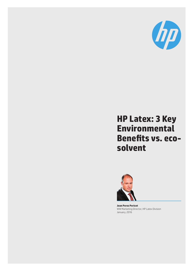

# **HP Latex: 3 Key Environmental Benefits vs. ecosolvent**



**Joan Perez Pericot**  WW Marketing Director, HP Latex Division January, 2016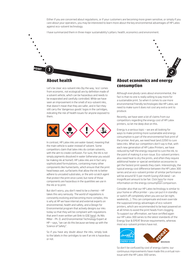Either if you are concerned about regulations, or if your customers are becoming more green sensitive, or simply if you care about your operators, you may be interested to learn more about the key environmental advantages of HP Latex against eco-solvent technology.

I have summarized them in three major sustainability's pillars: health, economics and environment.

### **About health**

**POINT**

Let's be clear: eco-solvent inks (by the way, 'eco' comes from economic, not ecological) are by definition made of a solvent vehicle, which can be hazardous and needs to be evaporated and carefully controlled. While we have seen an improvement in the smell of eco-solvent inks, that doesn't mean that they are safer, and in fact they still carry the 'dangerous goods' logos in the cartridges, indicating the risk of health issues for anyone exposed to them.



In contrast, HP Latex inks are water-based, meaning that the main vehicle is water instead of solvent. Some competitors claim that latex inks do contain solvents, with the aim to create confusion. For sure, the ink is not simply pigments dissolved in water (otherwise you would be making ink at home!). HP Latex inks are in fact very sophisticated formulations, containing many other components like humectants, which ensure that the print head keeps wet, surfactants that allow the ink to better adhere to uncoated substrates, or the anti-scratch agent that protect the print once cured, but none of those components are hazardous in the quantities we use in the ink or to print.

But don't worry, you don't need to be a chemist – HP takes this very seriously. The world of regulations is constantly evolving and becoming more complex, this is why at HP we have internal and external experts on environmental, health and safety, and a Design for Environmental program that actively designs our inks today so that they will be compliant wit[h reg](http://www8.hp.com/us/en/hp-information/global-citizenship/society/general-specification-for-the-environment.html)ulations that aren't even written yet (link to GSE here). As Nils Miller - Ph. D. and Environmental Technology Expert at HP – says, "we can do this because we keep up with the Science of Safety".

So if you have any doubt about the inks, simply look to the labels in the cartridges to see if an ink is hazardous or not.

#### **About economics and energy consumption**

**ROAD** 

**2**

Although everybody cares about environmental, the fact is that no one is really willing to pay more for a sustainable print. So when it comes to use more environmental friendly technologies like HP Latex, we need to make sure it does not cost any extra cent to produce.

Recently, we have seen a lot of claims from our competitors regarding the energy cost of HP Latex printers, so let me deep dive on this.

Energy is a serious topic – we are all looking for ways to make printing more sustainable and energy consumption is part of the environmental foot print of the printer. And yes, we need heat (and 220V) to cure latex inks. What our competitors don't say is that, with each new generation of HP Latex Printers, we have reduced by half the energy required to cure the ink, to the point of making it a non-issue. Eco-solvent printers also need heat to dry the prints, and often they require additional heater or special ventilation accessories to get the fastest print speeds they claim. Interestingly, the typical energy cost difference between the HP Latex 300 series and an eco-solvent printer of similar performance will be around \$7.5 per month (using USA data) – an insignificant amount to be fair. Click [here](http://h20435.www2.hp.com/t5/Resources-News/Latex-360-vs-Roland-XF-640-Energy-consumption-comparison/idi-p/294795) for more information on the energy consumption comparison.

Consider also that our HP Latex technology is similar to your home or office printer – you can put it in standby or switch off completely when you are out (at night, weekends…). This can compensate and even override the supposed energy advantages of eco-solvent printers, which are recommended to be kept powered on at all times to avoid the print heads from clogging. To support our affirmation, we have certified again our HP Latex 300 series to the latest standards of the Energy Star & EPEAT Bronze requirements, whereas most eco-solvent printers have not.



So don't be confused by cost of energy claims: our continuous improvements have made this a virtual nonissue with the HP Latex 300 series.